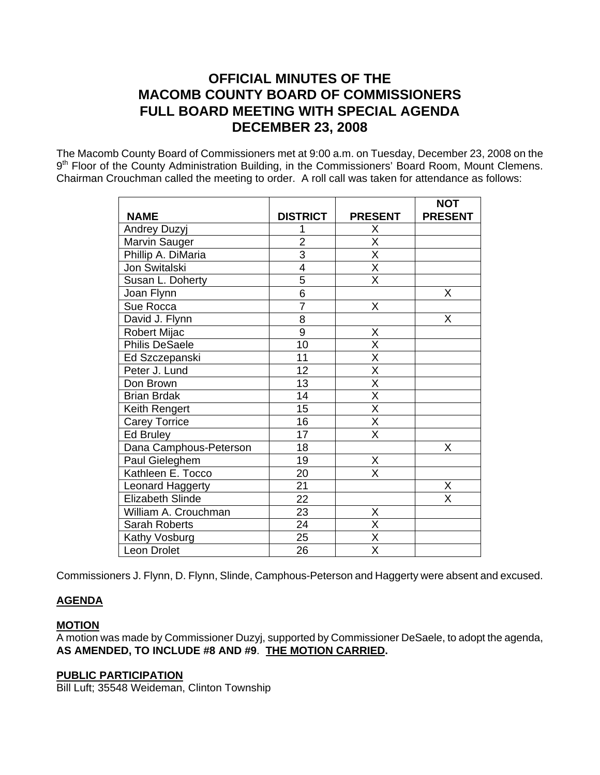# **OFFICIAL MINUTES OF THE MACOMB COUNTY BOARD OF COMMISSIONERS FULL BOARD MEETING WITH SPECIAL AGENDA DECEMBER 23, 2008**

The Macomb County Board of Commissioners met at 9:00 a.m. on Tuesday, December 23, 2008 on the 9<sup>th</sup> Floor of the County Administration Building, in the Commissioners' Board Room, Mount Clemens. Chairman Crouchman called the meeting to order. A roll call was taken for attendance as follows:

|                         |                 |                         | <b>NOT</b>              |
|-------------------------|-----------------|-------------------------|-------------------------|
| <b>NAME</b>             | <b>DISTRICT</b> | <b>PRESENT</b>          | <b>PRESENT</b>          |
| Andrey Duzyj            | 1               | Χ                       |                         |
| Marvin Sauger           | $\overline{2}$  | $\overline{X}$          |                         |
| Phillip A. DiMaria      | $\overline{3}$  | $\overline{\mathsf{x}}$ |                         |
| Jon Switalski           | 4               | $\overline{\mathsf{x}}$ |                         |
| Susan L. Doherty        | 5               | $\overline{\mathsf{x}}$ |                         |
| Joan Flynn              | 6               |                         | X                       |
| Sue Rocca               | $\overline{7}$  | X                       |                         |
| David J. Flynn          | 8               |                         | X                       |
| Robert Mijac            | $\overline{9}$  | X                       |                         |
| <b>Philis DeSaele</b>   | 10              | $\overline{\mathsf{X}}$ |                         |
| Ed Szczepanski          | 11              | $\overline{\mathsf{x}}$ |                         |
| Peter J. Lund           | 12              | $\overline{\mathsf{X}}$ |                         |
| Don Brown               | 13              | $\overline{\mathsf{x}}$ |                         |
| <b>Brian Brdak</b>      | 14              | $\overline{\mathsf{x}}$ |                         |
| Keith Rengert           | 15              | $\overline{\mathsf{x}}$ |                         |
| <b>Carey Torrice</b>    | 16              | X                       |                         |
| <b>Ed Bruley</b>        | $\overline{17}$ | $\overline{\mathsf{x}}$ |                         |
| Dana Camphous-Peterson  | 18              |                         | X                       |
| Paul Gieleghem          | 19              | Χ                       |                         |
| Kathleen E. Tocco       | 20              | $\overline{\mathsf{x}}$ |                         |
| Leonard Haggerty        | $\overline{21}$ |                         | X                       |
| <b>Elizabeth Slinde</b> | $\overline{22}$ |                         | $\overline{\mathsf{x}}$ |
| William A. Crouchman    | 23              | Χ                       |                         |
| <b>Sarah Roberts</b>    | 24              | $\overline{\mathsf{X}}$ |                         |
| Kathy Vosburg           | 25              | X                       |                         |
| Leon Drolet             | 26              | $\overline{\mathsf{x}}$ |                         |

Commissioners J. Flynn, D. Flynn, Slinde, Camphous-Peterson and Haggerty were absent and excused.

# **AGENDA**

# **MOTION**

A motion was made by Commissioner Duzyj, supported by Commissioner DeSaele, to adopt the agenda, **AS AMENDED, TO INCLUDE #8 AND #9**. **THE MOTION CARRIED.** 

# **PUBLIC PARTICIPATION**

Bill Luft; 35548 Weideman, Clinton Township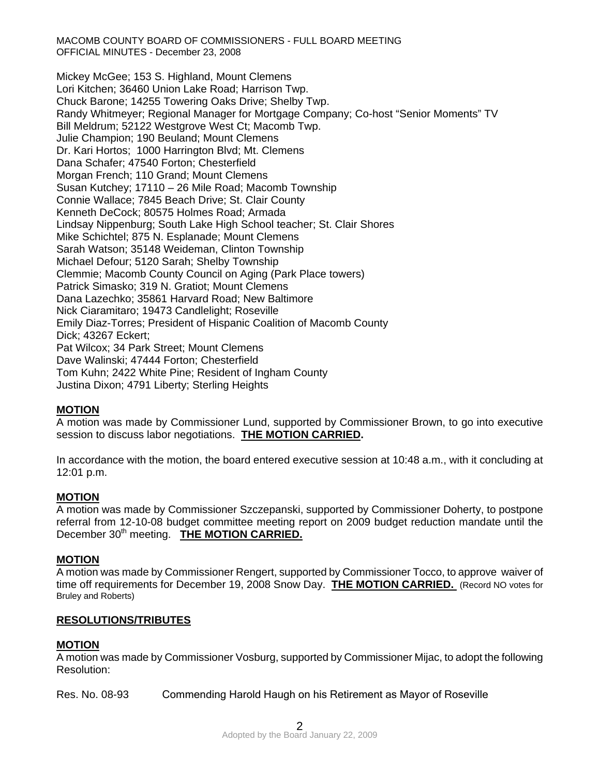MACOMB COUNTY BOARD OF COMMISSIONERS - FULL BOARD MEETING OFFICIAL MINUTES - December 23, 2008

Mickey McGee; 153 S. Highland, Mount Clemens Lori Kitchen; 36460 Union Lake Road; Harrison Twp. Chuck Barone; 14255 Towering Oaks Drive; Shelby Twp. Randy Whitmeyer; Regional Manager for Mortgage Company; Co-host "Senior Moments" TV Bill Meldrum; 52122 Westgrove West Ct; Macomb Twp. Julie Champion; 190 Beuland; Mount Clemens Dr. Kari Hortos; 1000 Harrington Blvd; Mt. Clemens Dana Schafer; 47540 Forton; Chesterfield Morgan French; 110 Grand; Mount Clemens Susan Kutchey; 17110 – 26 Mile Road; Macomb Township Connie Wallace; 7845 Beach Drive; St. Clair County Kenneth DeCock; 80575 Holmes Road; Armada Lindsay Nippenburg; South Lake High School teacher; St. Clair Shores Mike Schichtel; 875 N. Esplanade; Mount Clemens Sarah Watson; 35148 Weideman, Clinton Township Michael Defour; 5120 Sarah; Shelby Township Clemmie; Macomb County Council on Aging (Park Place towers) Patrick Simasko; 319 N. Gratiot; Mount Clemens Dana Lazechko; 35861 Harvard Road; New Baltimore Nick Ciaramitaro; 19473 Candlelight; Roseville Emily Diaz-Torres; President of Hispanic Coalition of Macomb County Dick; 43267 Eckert; Pat Wilcox; 34 Park Street; Mount Clemens Dave Walinski; 47444 Forton; Chesterfield Tom Kuhn; 2422 White Pine; Resident of Ingham County Justina Dixon; 4791 Liberty; Sterling Heights

# **MOTION**

A motion was made by Commissioner Lund, supported by Commissioner Brown, to go into executive session to discuss labor negotiations. **THE MOTION CARRIED.** 

In accordance with the motion, the board entered executive session at 10:48 a.m., with it concluding at 12:01 p.m.

#### **MOTION**

A motion was made by Commissioner Szczepanski, supported by Commissioner Doherty, to postpone referral from 12-10-08 budget committee meeting report on 2009 budget reduction mandate until the December 30<sup>th</sup> meeting. **THE MOTION CARRIED.** 

#### **MOTION**

A motion was made by Commissioner Rengert, supported by Commissioner Tocco, to approve waiver of time off requirements for December 19, 2008 Snow Day. **THE MOTION CARRIED.** (Record NO votes for Bruley and Roberts)

#### **RESOLUTIONS/TRIBUTES**

#### **MOTION**

A motion was made by Commissioner Vosburg, supported by Commissioner Mijac, to adopt the following Resolution:

Res. No. 08-93 Commending Harold Haugh on his Retirement as Mayor of Roseville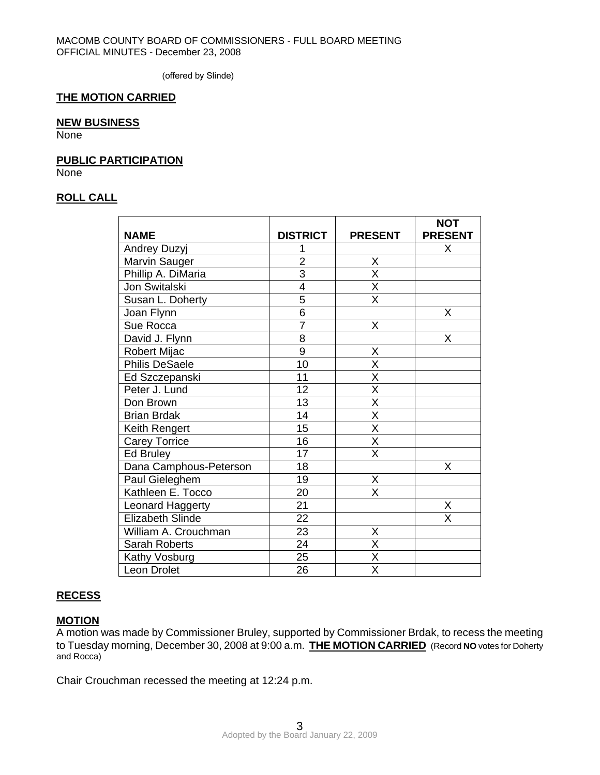(offered by Slinde)

#### **THE MOTION CARRIED**

### **NEW BUSINESS**

None

#### **PUBLIC PARTICIPATION**

**None** 

# **ROLL CALL**

|                         |                 |                         | <b>NOT</b>     |
|-------------------------|-----------------|-------------------------|----------------|
| <b>NAME</b>             | <b>DISTRICT</b> | <b>PRESENT</b>          | <b>PRESENT</b> |
| Andrey Duzyj            | 1               |                         | Χ              |
| Marvin Sauger           | $\overline{2}$  | Χ                       |                |
| Phillip A. DiMaria      | $\overline{3}$  | X                       |                |
| Jon Switalski           | $\overline{4}$  | $\overline{\mathsf{x}}$ |                |
| Susan L. Doherty        | 5               | $\overline{\mathsf{x}}$ |                |
| Joan Flynn              | 6               |                         | Χ              |
| Sue Rocca               | $\overline{7}$  | X                       |                |
| David J. Flynn          | $\overline{8}$  |                         | Χ              |
| Robert Mijac            | 9               | Χ                       |                |
| <b>Philis DeSaele</b>   | 10              | $\overline{\mathsf{x}}$ |                |
| Ed Szczepanski          | 11              | $\overline{\mathsf{x}}$ |                |
| Peter J. Lund           | 12              | $\overline{\mathsf{x}}$ |                |
| Don Brown               | 13              | X                       |                |
| <b>Brian Brdak</b>      | 14              | $\overline{\mathsf{x}}$ |                |
| Keith Rengert           | $\overline{15}$ | $\overline{\mathsf{x}}$ |                |
| <b>Carey Torrice</b>    | 16              | Χ                       |                |
| Ed Bruley               | 17              | $\overline{\mathsf{x}}$ |                |
| Dana Camphous-Peterson  | 18              |                         | Χ              |
| Paul Gieleghem          | 19              | Χ                       |                |
| Kathleen E. Tocco       | 20              | $\overline{\mathsf{x}}$ |                |
| Leonard Haggerty        | 21              |                         | X              |
| <b>Elizabeth Slinde</b> | 22              |                         | X              |
| William A. Crouchman    | 23              | Χ                       |                |
| Sarah Roberts           | $\overline{24}$ | $\overline{\mathsf{x}}$ |                |
| Kathy Vosburg           | 25              | $\overline{\mathsf{x}}$ |                |
| Leon Drolet             | 26              | $\overline{\mathsf{x}}$ |                |

# **RECESS**

#### **MOTION**

A motion was made by Commissioner Bruley, supported by Commissioner Brdak, to recess the meeting to Tuesday morning, December 30, 2008 at 9:00 a.m. **THE MOTION CARRIED** (Record **NO** votes for Doherty and Rocca)

Chair Crouchman recessed the meeting at 12:24 p.m.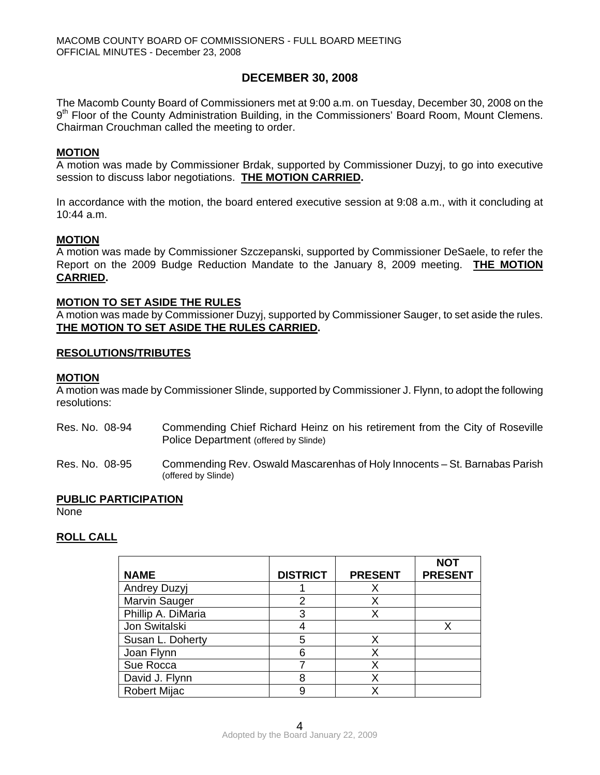# **DECEMBER 30, 2008**

The Macomb County Board of Commissioners met at 9:00 a.m. on Tuesday, December 30, 2008 on the 9<sup>th</sup> Floor of the County Administration Building, in the Commissioners' Board Room, Mount Clemens. Chairman Crouchman called the meeting to order.

### **MOTION**

A motion was made by Commissioner Brdak, supported by Commissioner Duzyj, to go into executive session to discuss labor negotiations. **THE MOTION CARRIED.** 

In accordance with the motion, the board entered executive session at 9:08 a.m., with it concluding at 10:44 a.m.

### **MOTION**

A motion was made by Commissioner Szczepanski, supported by Commissioner DeSaele, to refer the Report on the 2009 Budge Reduction Mandate to the January 8, 2009 meeting. **THE MOTION CARRIED.** 

#### **MOTION TO SET ASIDE THE RULES**

A motion was made by Commissioner Duzyj, supported by Commissioner Sauger, to set aside the rules. **THE MOTION TO SET ASIDE THE RULES CARRIED.** 

#### **RESOLUTIONS/TRIBUTES**

#### **MOTION**

A motion was made by Commissioner Slinde, supported by Commissioner J. Flynn, to adopt the following resolutions:

- Res. No. 08-94 Commending Chief Richard Heinz on his retirement from the City of Roseville Police Department (offered by Slinde)
- Res. No. 08-95 Commending Rev. Oswald Mascarenhas of Holy Innocents St. Barnabas Parish (offered by Slinde)

### **PUBLIC PARTICIPATION**

None

# **ROLL CALL**

| <b>NAME</b>         | <b>DISTRICT</b> | <b>PRESENT</b> | <b>NOT</b><br><b>PRESENT</b> |
|---------------------|-----------------|----------------|------------------------------|
| <b>Andrey Duzyj</b> |                 |                |                              |
| Marvin Sauger       |                 |                |                              |
| Phillip A. DiMaria  |                 |                |                              |
| Jon Switalski       |                 |                |                              |
| Susan L. Doherty    | 5               |                |                              |
| Joan Flynn          | 6               | Χ              |                              |
| Sue Rocca           |                 |                |                              |
| David J. Flynn      |                 |                |                              |
| <b>Robert Mijac</b> |                 |                |                              |